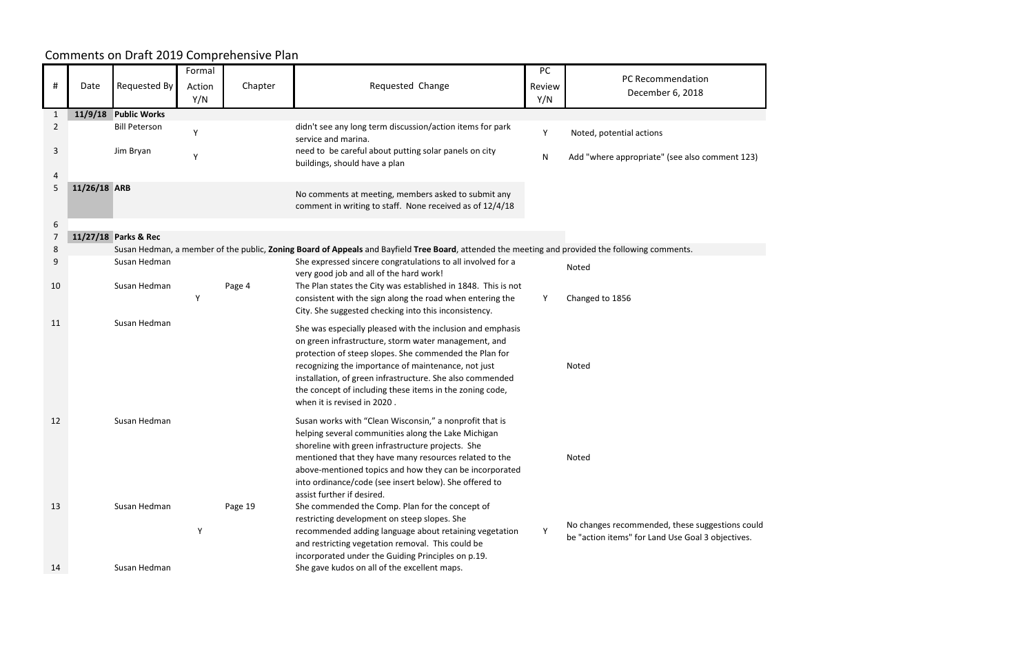|                |              |                      | Formal |         |                                                                                                                                                  | PC        |                                                   |
|----------------|--------------|----------------------|--------|---------|--------------------------------------------------------------------------------------------------------------------------------------------------|-----------|---------------------------------------------------|
| #              | Date         | Requested By         | Action | Chapter | Requested Change                                                                                                                                 | Review    | PC Recommendation                                 |
|                |              |                      | Y/N    |         |                                                                                                                                                  | Y/N       | December 6, 2018                                  |
|                |              | <b>Public Works</b>  |        |         |                                                                                                                                                  |           |                                                   |
| -1             | 11/9/18      | <b>Bill Peterson</b> |        |         | didn't see any long term discussion/action items for park                                                                                        |           |                                                   |
| $\overline{2}$ |              |                      | Y      |         | service and marina.                                                                                                                              | Y         | Noted, potential actions                          |
| 3              |              | Jim Bryan            | Y      |         | need to be careful about putting solar panels on city<br>buildings, should have a plan                                                           | ${\sf N}$ | Add "where appropriate" (see also comment 123)    |
|                |              |                      |        |         |                                                                                                                                                  |           |                                                   |
| 5              | 11/26/18 ARB |                      |        |         | No comments at meeting, members asked to submit any<br>comment in writing to staff. None received as of 12/4/18                                  |           |                                                   |
| 6              |              |                      |        |         |                                                                                                                                                  |           |                                                   |
| 7              |              | 11/27/18 Parks & Rec |        |         |                                                                                                                                                  |           |                                                   |
| 8              |              |                      |        |         | Susan Hedman, a member of the public, Zoning Board of Appeals and Bayfield Tree Board, attended the meeting and provided the following comments. |           |                                                   |
| 9              |              | Susan Hedman         |        |         | She expressed sincere congratulations to all involved for a<br>very good job and all of the hard work!                                           |           | Noted                                             |
| 10             |              | Susan Hedman         | Υ      | Page 4  | The Plan states the City was established in 1848. This is not<br>consistent with the sign along the road when entering the                       | Y         | Changed to 1856                                   |
|                |              |                      |        |         | City. She suggested checking into this inconsistency.                                                                                            |           |                                                   |
| 11             |              | Susan Hedman         |        |         | She was especially pleased with the inclusion and emphasis<br>on green infrastructure, storm water management, and                               |           |                                                   |
|                |              |                      |        |         | protection of steep slopes. She commended the Plan for                                                                                           |           |                                                   |
|                |              |                      |        |         | recognizing the importance of maintenance, not just<br>installation, of green infrastructure. She also commended                                 |           | Noted                                             |
|                |              |                      |        |         | the concept of including these items in the zoning code,                                                                                         |           |                                                   |
|                |              |                      |        |         | when it is revised in 2020.                                                                                                                      |           |                                                   |
| 12             |              | Susan Hedman         |        |         | Susan works with "Clean Wisconsin," a nonprofit that is                                                                                          |           |                                                   |
|                |              |                      |        |         | helping several communities along the Lake Michigan                                                                                              |           |                                                   |
|                |              |                      |        |         | shoreline with green infrastructure projects. She<br>mentioned that they have many resources related to the                                      |           | Noted                                             |
|                |              |                      |        |         | above-mentioned topics and how they can be incorporated                                                                                          |           |                                                   |
|                |              |                      |        |         | into ordinance/code (see insert below). She offered to                                                                                           |           |                                                   |
|                |              |                      |        |         | assist further if desired.                                                                                                                       |           |                                                   |
| 13             |              | Susan Hedman         |        | Page 19 | She commended the Comp. Plan for the concept of                                                                                                  |           |                                                   |
|                |              |                      |        |         | restricting development on steep slopes. She                                                                                                     |           | No changes recommended, these suggestions could   |
|                |              |                      | Y      |         | recommended adding language about retaining vegetation<br>and restricting vegetation removal. This could be                                      | Y         | be "action items" for Land Use Goal 3 objectives. |
|                |              |                      |        |         | incorporated under the Guiding Principles on p.19.                                                                                               |           |                                                   |
| 14             |              | Susan Hedman         |        |         | She gave kudos on all of the excellent maps.                                                                                                     |           |                                                   |

## Comments on Draft 2019 Comprehensive Plan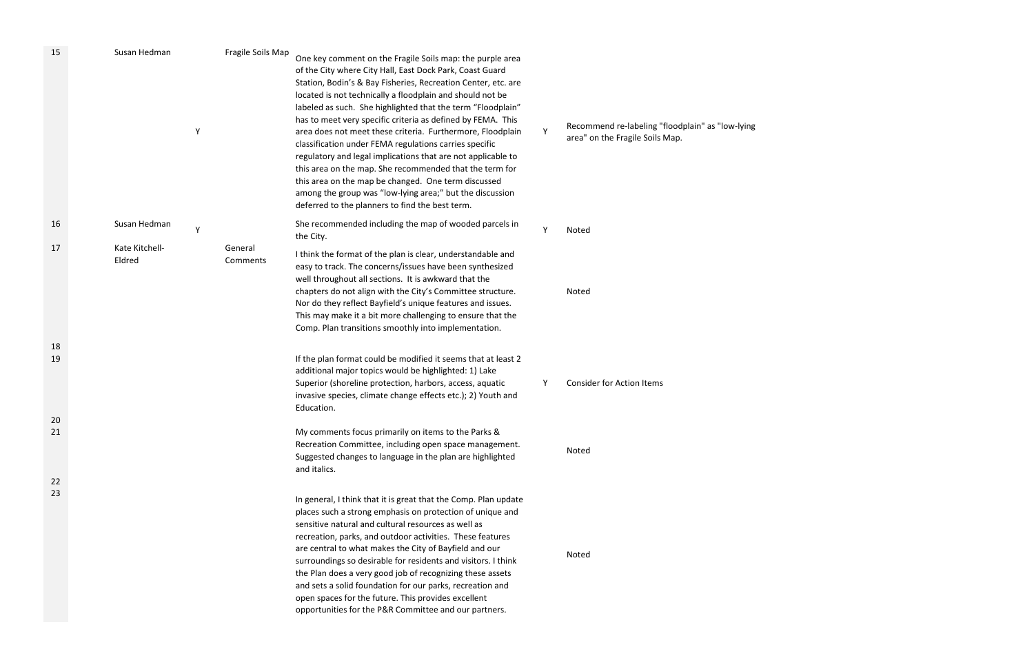| 15       | Susan Hedman<br>Y        | Fragile Soils Map   | One key comment on the Fragile Soils map: the purple area<br>of the City where City Hall, East Dock Park, Coast Guard<br>Station, Bodin's & Bay Fisheries, Recreation Center, etc. are<br>located is not technically a floodplain and should not be<br>labeled as such. She highlighted that the term "Floodplain"<br>has to meet very specific criteria as defined by FEMA. This<br>area does not meet these criteria. Furthermore, Floodplain<br>classification under FEMA regulations carries specific<br>regulatory and legal implications that are not applicable to<br>this area on the map. She recommended that the term for<br>this area on the map be changed. One term discussed<br>among the group was "low-lying area;" but the discussion<br>deferred to the planners to find the best term. | Y | Recommend re-labeling "floodplain" as "low-lying<br>area" on the Fragile Soils Map. |
|----------|--------------------------|---------------------|------------------------------------------------------------------------------------------------------------------------------------------------------------------------------------------------------------------------------------------------------------------------------------------------------------------------------------------------------------------------------------------------------------------------------------------------------------------------------------------------------------------------------------------------------------------------------------------------------------------------------------------------------------------------------------------------------------------------------------------------------------------------------------------------------------|---|-------------------------------------------------------------------------------------|
| 16       | Susan Hedman<br>Y        |                     | She recommended including the map of wooded parcels in<br>the City.                                                                                                                                                                                                                                                                                                                                                                                                                                                                                                                                                                                                                                                                                                                                        | Y | Noted                                                                               |
| 17       | Kate Kitchell-<br>Eldred | General<br>Comments | I think the format of the plan is clear, understandable and<br>easy to track. The concerns/issues have been synthesized<br>well throughout all sections. It is awkward that the<br>chapters do not align with the City's Committee structure.<br>Nor do they reflect Bayfield's unique features and issues.<br>This may make it a bit more challenging to ensure that the<br>Comp. Plan transitions smoothly into implementation.                                                                                                                                                                                                                                                                                                                                                                          |   | Noted                                                                               |
| 18<br>19 |                          |                     | If the plan format could be modified it seems that at least 2                                                                                                                                                                                                                                                                                                                                                                                                                                                                                                                                                                                                                                                                                                                                              |   |                                                                                     |
|          |                          |                     | additional major topics would be highlighted: 1) Lake<br>Superior (shoreline protection, harbors, access, aquatic<br>invasive species, climate change effects etc.); 2) Youth and<br>Education.                                                                                                                                                                                                                                                                                                                                                                                                                                                                                                                                                                                                            | Υ | <b>Consider for Action Items</b>                                                    |
| 20<br>21 |                          |                     | My comments focus primarily on items to the Parks &                                                                                                                                                                                                                                                                                                                                                                                                                                                                                                                                                                                                                                                                                                                                                        |   |                                                                                     |
|          |                          |                     | Recreation Committee, including open space management.<br>Suggested changes to language in the plan are highlighted<br>and italics.                                                                                                                                                                                                                                                                                                                                                                                                                                                                                                                                                                                                                                                                        |   | Noted                                                                               |
| 22<br>23 |                          |                     | In general, I think that it is great that the Comp. Plan update<br>places such a strong emphasis on protection of unique and<br>sensitive natural and cultural resources as well as<br>recreation, parks, and outdoor activities. These features<br>are central to what makes the City of Bayfield and our<br>surroundings so desirable for residents and visitors. I think<br>the Plan does a very good job of recognizing these assets<br>and sets a solid foundation for our parks, recreation and<br>open spaces for the future. This provides excellent<br>opportunities for the P&R Committee and our partners.                                                                                                                                                                                      |   | Noted                                                                               |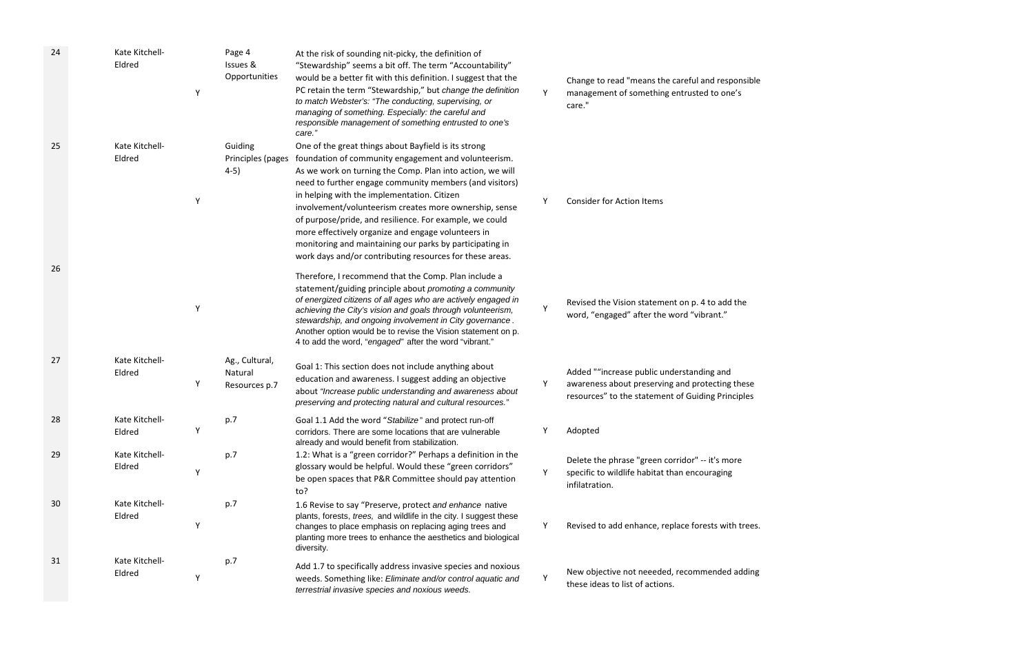| 24 | Kate Kitchell-<br>Eldred | Page 4<br>Issues &<br>Opportunities<br>Υ        | At the risk of sounding nit-picky, the definition of<br>"Stewardship" seems a bit off. The term "Accountability"<br>would be a better fit with this definition. I suggest that the<br>PC retain the term "Stewardship," but change the definition<br>to match Webster's: "The conducting, supervising, or<br>managing of something. Especially: the careful and<br>responsible management of something entrusted to one's<br>care."                                                                                                                                                    | Υ | Change to read "means the careful and responsible<br>management of something entrusted to one's<br>care."                                         |
|----|--------------------------|-------------------------------------------------|----------------------------------------------------------------------------------------------------------------------------------------------------------------------------------------------------------------------------------------------------------------------------------------------------------------------------------------------------------------------------------------------------------------------------------------------------------------------------------------------------------------------------------------------------------------------------------------|---|---------------------------------------------------------------------------------------------------------------------------------------------------|
| 25 | Kate Kitchell-<br>Eldred | Guiding<br>Principles (pages<br>$4-5)$          | One of the great things about Bayfield is its strong<br>foundation of community engagement and volunteerism.<br>As we work on turning the Comp. Plan into action, we will<br>need to further engage community members (and visitors)<br>in helping with the implementation. Citizen<br>involvement/volunteerism creates more ownership, sense<br>of purpose/pride, and resilience. For example, we could<br>more effectively organize and engage volunteers in<br>monitoring and maintaining our parks by participating in<br>work days and/or contributing resources for these areas. | Υ | <b>Consider for Action Items</b>                                                                                                                  |
| 26 |                          | Y                                               | Therefore, I recommend that the Comp. Plan include a<br>statement/guiding principle about promoting a community<br>of energized citizens of all ages who are actively engaged in<br>achieving the City's vision and goals through volunteerism,<br>stewardship, and ongoing involvement in City governance.<br>Another option would be to revise the Vision statement on p.<br>4 to add the word, "engaged" after the word "vibrant."                                                                                                                                                  | Υ | Revised the Vision statement on p. 4 to add the<br>word, "engaged" after the word "vibrant."                                                      |
| 27 | Kate Kitchell-<br>Eldred | Ag., Cultural,<br>Natural<br>Υ<br>Resources p.7 | Goal 1: This section does not include anything about<br>education and awareness. I suggest adding an objective<br>about "Increase public understanding and awareness about<br>preserving and protecting natural and cultural resources."                                                                                                                                                                                                                                                                                                                                               | Υ | Added ""increase public understanding and<br>awareness about preserving and protecting these<br>resources" to the statement of Guiding Principles |
| 28 | Kate Kitchell-<br>Eldred | p.7                                             | Goal 1.1 Add the word "Stabilize" and protect run-off<br>corridors. There are some locations that are vulnerable<br>already and would benefit from stabilization.                                                                                                                                                                                                                                                                                                                                                                                                                      |   | Adopted                                                                                                                                           |
| 29 | Kate Kitchell-<br>Eldred | p.7<br>Υ                                        | 1.2: What is a "green corridor?" Perhaps a definition in the<br>glossary would be helpful. Would these "green corridors"<br>be open spaces that P&R Committee should pay attention<br>to?                                                                                                                                                                                                                                                                                                                                                                                              | Υ | Delete the phrase "green corridor" -- it's more<br>specific to wildlife habitat than encouraging<br>infilatration.                                |
| 30 | Kate Kitchell-<br>Eldred | p.7                                             | 1.6 Revise to say "Preserve, protect and enhance native<br>plants, forests, trees, and wildlife in the city. I suggest these<br>changes to place emphasis on replacing aging trees and<br>planting more trees to enhance the aesthetics and biological<br>diversity.                                                                                                                                                                                                                                                                                                                   | Y | Revised to add enhance, replace forests with trees.                                                                                               |
| 31 | Kate Kitchell-<br>Eldred | p.7                                             | Add 1.7 to specifically address invasive species and noxious<br>weeds. Something like: Eliminate and/or control aquatic and<br>terrestrial invasive species and noxious weeds.                                                                                                                                                                                                                                                                                                                                                                                                         | Υ | New objective not neeeded, recommended adding<br>these ideas to list of actions.                                                                  |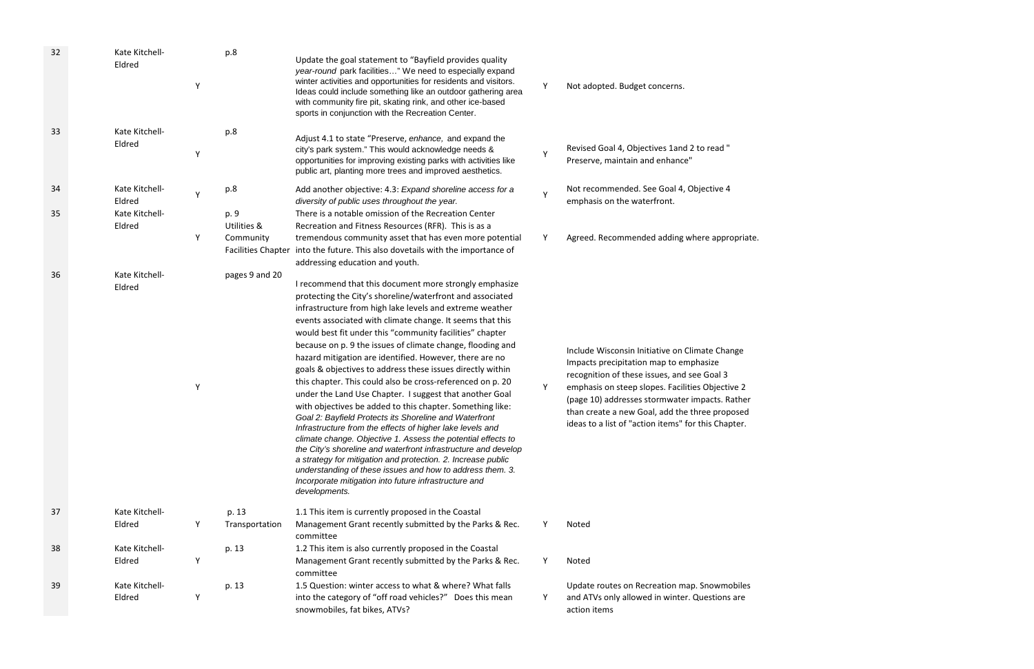| 32 | Kate Kitchell-<br>Eldred | p.8<br>Υ                     | Update the goal statement to "Bayfield provides quality<br>year-round park facilities" We need to especially expand<br>winter activities and opportunities for residents and visitors.<br>Ideas could include something like an outdoor gathering area<br>with community fire pit, skating rink, and other ice-based<br>sports in conjunction with the Recreation Center.                                                                                                                                                                                                                                                                                                                                                                                                                                                                                                                                                                                                                                                                                                                                                                             | Y            | Not adopted. Budget concerns.                                                                                                                                                                                                                                                                                                                          |
|----|--------------------------|------------------------------|-------------------------------------------------------------------------------------------------------------------------------------------------------------------------------------------------------------------------------------------------------------------------------------------------------------------------------------------------------------------------------------------------------------------------------------------------------------------------------------------------------------------------------------------------------------------------------------------------------------------------------------------------------------------------------------------------------------------------------------------------------------------------------------------------------------------------------------------------------------------------------------------------------------------------------------------------------------------------------------------------------------------------------------------------------------------------------------------------------------------------------------------------------|--------------|--------------------------------------------------------------------------------------------------------------------------------------------------------------------------------------------------------------------------------------------------------------------------------------------------------------------------------------------------------|
| 33 | Kate Kitchell-<br>Eldred | p.8<br>Y                     | Adjust 4.1 to state "Preserve, enhance, and expand the<br>city's park system." This would acknowledge needs &<br>opportunities for improving existing parks with activities like<br>public art, planting more trees and improved aesthetics.                                                                                                                                                                                                                                                                                                                                                                                                                                                                                                                                                                                                                                                                                                                                                                                                                                                                                                          | $\mathsf{Y}$ | Revised Goal 4, Objectives 1and 2 to read "<br>Preserve, maintain and enhance"                                                                                                                                                                                                                                                                         |
| 34 | Kate Kitchell-<br>Eldred | p.8<br>Υ                     | Add another objective: 4.3: Expand shoreline access for a<br>diversity of public uses throughout the year.                                                                                                                                                                                                                                                                                                                                                                                                                                                                                                                                                                                                                                                                                                                                                                                                                                                                                                                                                                                                                                            | $\mathsf{Y}$ | Not recommended. See Goal 4, Objective 4<br>emphasis on the waterfront.                                                                                                                                                                                                                                                                                |
| 35 | Kate Kitchell-<br>Eldred | p. 9<br>Utilities &          | There is a notable omission of the Recreation Center<br>Recreation and Fitness Resources (RFR). This is as a                                                                                                                                                                                                                                                                                                                                                                                                                                                                                                                                                                                                                                                                                                                                                                                                                                                                                                                                                                                                                                          |              |                                                                                                                                                                                                                                                                                                                                                        |
|    |                          | Y<br>Community               | tremendous community asset that has even more potential<br>Facilities Chapter into the future. This also dovetails with the importance of<br>addressing education and youth.                                                                                                                                                                                                                                                                                                                                                                                                                                                                                                                                                                                                                                                                                                                                                                                                                                                                                                                                                                          | Y            | Agreed. Recommended adding where appropriate.                                                                                                                                                                                                                                                                                                          |
| 36 | Kate Kitchell-<br>Eldred | pages 9 and 20<br>Y          | I recommend that this document more strongly emphasize<br>protecting the City's shoreline/waterfront and associated<br>infrastructure from high lake levels and extreme weather<br>events associated with climate change. It seems that this<br>would best fit under this "community facilities" chapter<br>because on p. 9 the issues of climate change, flooding and<br>hazard mitigation are identified. However, there are no<br>goals & objectives to address these issues directly within<br>this chapter. This could also be cross-referenced on p. 20<br>under the Land Use Chapter. I suggest that another Goal<br>with objectives be added to this chapter. Something like:<br>Goal 2: Bayfield Protects its Shoreline and Waterfront<br>Infrastructure from the effects of higher lake levels and<br>climate change. Objective 1. Assess the potential effects to<br>the City's shoreline and waterfront infrastructure and develop<br>a strategy for mitigation and protection. 2. Increase public<br>understanding of these issues and how to address them. 3.<br>Incorporate mitigation into future infrastructure and<br>developments. | Y            | Include Wisconsin Initiative on Climate Change<br>Impacts precipitation map to emphasize<br>recognition of these issues, and see Goal 3<br>emphasis on steep slopes. Facilities Objective 2<br>(page 10) addresses stormwater impacts. Rather<br>than create a new Goal, add the three proposed<br>ideas to a list of "action items" for this Chapter. |
| 37 | Kate Kitchell-<br>Eldred | p. 13<br>Y<br>Transportation | 1.1 This item is currently proposed in the Coastal<br>Management Grant recently submitted by the Parks & Rec.                                                                                                                                                                                                                                                                                                                                                                                                                                                                                                                                                                                                                                                                                                                                                                                                                                                                                                                                                                                                                                         | Y            | Noted                                                                                                                                                                                                                                                                                                                                                  |
|    |                          |                              | committee                                                                                                                                                                                                                                                                                                                                                                                                                                                                                                                                                                                                                                                                                                                                                                                                                                                                                                                                                                                                                                                                                                                                             |              |                                                                                                                                                                                                                                                                                                                                                        |
| 38 | Kate Kitchell-           | p. 13                        | 1.2 This item is also currently proposed in the Coastal                                                                                                                                                                                                                                                                                                                                                                                                                                                                                                                                                                                                                                                                                                                                                                                                                                                                                                                                                                                                                                                                                               |              |                                                                                                                                                                                                                                                                                                                                                        |
|    | Eldred                   | Υ                            | Management Grant recently submitted by the Parks & Rec.<br>committee                                                                                                                                                                                                                                                                                                                                                                                                                                                                                                                                                                                                                                                                                                                                                                                                                                                                                                                                                                                                                                                                                  | Y            | Noted                                                                                                                                                                                                                                                                                                                                                  |
| 39 | Kate Kitchell-           | p. 13                        | 1.5 Question: winter access to what & where? What falls                                                                                                                                                                                                                                                                                                                                                                                                                                                                                                                                                                                                                                                                                                                                                                                                                                                                                                                                                                                                                                                                                               |              | Update routes on Recreation map. Snowmobiles                                                                                                                                                                                                                                                                                                           |
|    | Eldred                   | Υ                            | into the category of "off road vehicles?" Does this mean<br>snowmobiles, fat bikes, ATVs?                                                                                                                                                                                                                                                                                                                                                                                                                                                                                                                                                                                                                                                                                                                                                                                                                                                                                                                                                                                                                                                             | Y            | and ATVs only allowed in winter. Questions are<br>action items                                                                                                                                                                                                                                                                                         |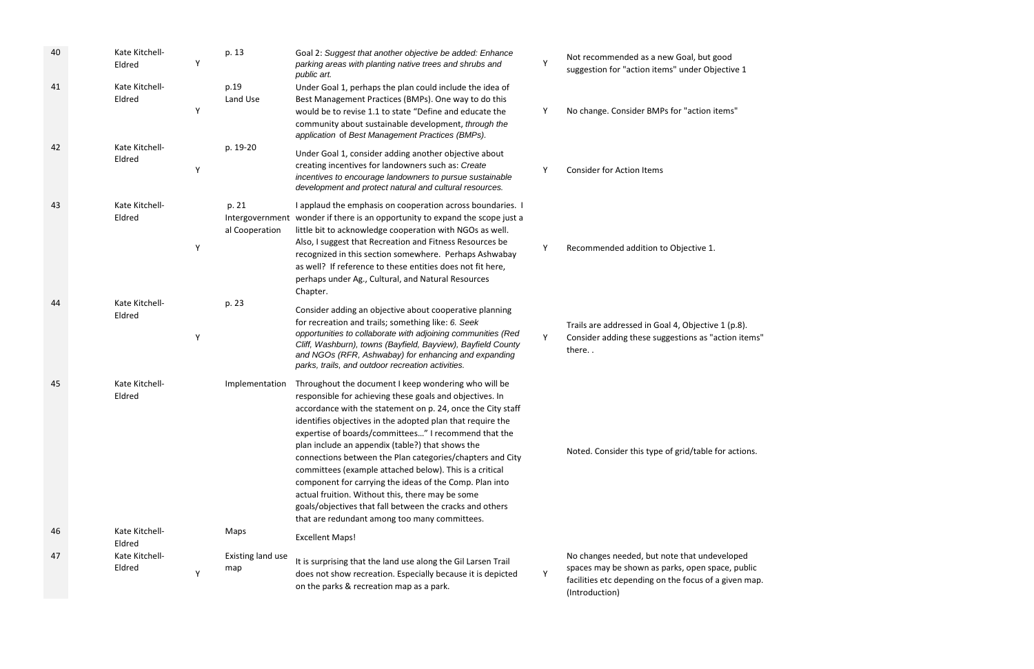| 40 | Kate Kitchell-<br>Eldred | Υ | p. 13                    | Goal 2: Suggest that another objective be added: Enhance<br>parking areas with planting native trees and shrubs and<br>public art.                                                                                                                                                                                                                                                                                                                                                                                                                                                                                                                                                                            | Y | Not recommended as a new Goal, but good<br>suggestion for "action items" under Objective 1                                                                |
|----|--------------------------|---|--------------------------|---------------------------------------------------------------------------------------------------------------------------------------------------------------------------------------------------------------------------------------------------------------------------------------------------------------------------------------------------------------------------------------------------------------------------------------------------------------------------------------------------------------------------------------------------------------------------------------------------------------------------------------------------------------------------------------------------------------|---|-----------------------------------------------------------------------------------------------------------------------------------------------------------|
| 41 | Kate Kitchell-<br>Eldred | Y | p.19<br>Land Use         | Under Goal 1, perhaps the plan could include the idea of<br>Best Management Practices (BMPs). One way to do this<br>would be to revise 1.1 to state "Define and educate the<br>community about sustainable development, through the<br>application of Best Management Practices (BMPs).                                                                                                                                                                                                                                                                                                                                                                                                                       | Y | No change. Consider BMPs for "action items"                                                                                                               |
| 42 | Kate Kitchell-<br>Eldred | Υ | p. 19-20                 | Under Goal 1, consider adding another objective about<br>creating incentives for landowners such as: Create<br>incentives to encourage landowners to pursue sustainable<br>development and protect natural and cultural resources.                                                                                                                                                                                                                                                                                                                                                                                                                                                                            | Υ | <b>Consider for Action Items</b>                                                                                                                          |
| 43 | Kate Kitchell-<br>Eldred | Υ | p. 21<br>al Cooperation  | I applaud the emphasis on cooperation across boundaries. I<br>Intergovernment wonder if there is an opportunity to expand the scope just a<br>little bit to acknowledge cooperation with NGOs as well.<br>Also, I suggest that Recreation and Fitness Resources be<br>recognized in this section somewhere. Perhaps Ashwabay<br>as well? If reference to these entities does not fit here,<br>perhaps under Ag., Cultural, and Natural Resources<br>Chapter.                                                                                                                                                                                                                                                  |   | Recommended addition to Objective 1.                                                                                                                      |
| 44 | Kate Kitchell-<br>Eldred | Υ | p. 23                    | Consider adding an objective about cooperative planning<br>for recreation and trails; something like: 6. Seek<br>opportunities to collaborate with adjoining communities (Red<br>Cliff, Washburn), towns (Bayfield, Bayview), Bayfield County<br>and NGOs (RFR, Ashwabay) for enhancing and expanding<br>parks, trails, and outdoor recreation activities.                                                                                                                                                                                                                                                                                                                                                    | Y | Trails are addressed in Goal 4, Objective 1 (p.8).<br>Consider adding these suggestions as "action items"<br>there                                        |
| 45 | Kate Kitchell-<br>Eldred |   | Implementation           | Throughout the document I keep wondering who will be<br>responsible for achieving these goals and objectives. In<br>accordance with the statement on p. 24, once the City staff<br>identifies objectives in the adopted plan that require the<br>expertise of boards/committees" I recommend that the<br>plan include an appendix (table?) that shows the<br>connections between the Plan categories/chapters and City<br>committees (example attached below). This is a critical<br>component for carrying the ideas of the Comp. Plan into<br>actual fruition. Without this, there may be some<br>goals/objectives that fall between the cracks and others<br>that are redundant among too many committees. |   | Noted. Consider this type of grid/table for actions.                                                                                                      |
| 46 | Kate Kitchell-<br>Eldred |   | Maps                     | <b>Excellent Maps!</b>                                                                                                                                                                                                                                                                                                                                                                                                                                                                                                                                                                                                                                                                                        |   |                                                                                                                                                           |
| 47 | Kate Kitchell-<br>Eldred |   | Existing land use<br>map | It is surprising that the land use along the Gil Larsen Trail<br>does not show recreation. Especially because it is depicted<br>on the parks & recreation map as a park.                                                                                                                                                                                                                                                                                                                                                                                                                                                                                                                                      | Y | No changes needed, but note that undeveloped<br>spaces may be shown as parks, open space, public<br>facilities etc depending on the focus of a given map. |

(Introduction)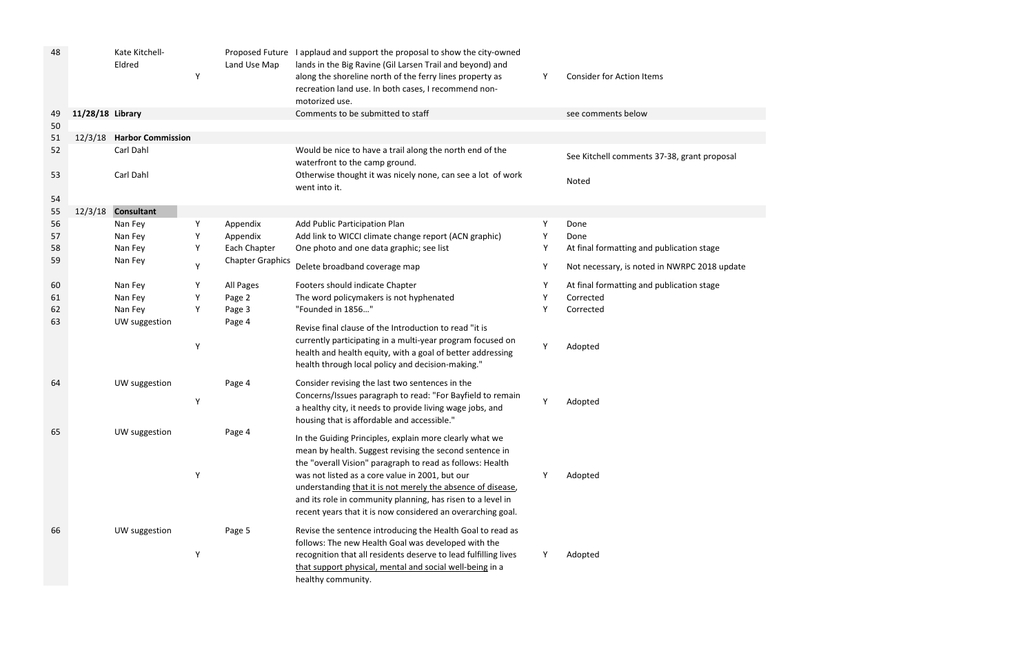| 48 |                  | Kate Kitchell-<br>Eldred | Υ | Land Use Map            | Proposed Future I applaud and support the proposal to show the city-owned<br>lands in the Big Ravine (Gil Larsen Trail and beyond) and<br>along the shoreline north of the ferry lines property as<br>recreation land use. In both cases, I recommend non-<br>motorized use.                              | Y | <b>Consider for Action Items</b>             |
|----|------------------|--------------------------|---|-------------------------|-----------------------------------------------------------------------------------------------------------------------------------------------------------------------------------------------------------------------------------------------------------------------------------------------------------|---|----------------------------------------------|
| 49 | 11/28/18 Library |                          |   |                         | Comments to be submitted to staff                                                                                                                                                                                                                                                                         |   | see comments below                           |
| 50 |                  |                          |   |                         |                                                                                                                                                                                                                                                                                                           |   |                                              |
| 51 | 12/3/18          | <b>Harbor Commission</b> |   |                         |                                                                                                                                                                                                                                                                                                           |   |                                              |
| 52 |                  | Carl Dahl                |   |                         | Would be nice to have a trail along the north end of the<br>waterfront to the camp ground.                                                                                                                                                                                                                |   | See Kitchell comments 37-38, grant proposal  |
| 53 |                  | Carl Dahl                |   |                         | Otherwise thought it was nicely none, can see a lot of work<br>went into it.                                                                                                                                                                                                                              |   | Noted                                        |
| 54 |                  |                          |   |                         |                                                                                                                                                                                                                                                                                                           |   |                                              |
| 55 | 12/3/18          | <b>Consultant</b>        |   |                         |                                                                                                                                                                                                                                                                                                           |   |                                              |
| 56 |                  | Nan Fey                  | Υ | Appendix                | Add Public Participation Plan                                                                                                                                                                                                                                                                             | Y | Done                                         |
| 57 |                  | Nan Fey                  |   | Appendix                | Add link to WICCI climate change report (ACN graphic)                                                                                                                                                                                                                                                     |   | Done                                         |
| 58 |                  | Nan Fey                  | Υ | Each Chapter            | One photo and one data graphic; see list                                                                                                                                                                                                                                                                  |   | At final formatting and publication stage    |
| 59 |                  | Nan Fey                  | Y | <b>Chapter Graphics</b> | Delete broadband coverage map                                                                                                                                                                                                                                                                             | Y | Not necessary, is noted in NWRPC 2018 update |
| 60 |                  | Nan Fey                  | Y | All Pages               | Footers should indicate Chapter                                                                                                                                                                                                                                                                           |   | At final formatting and publication stage    |
| 61 |                  | Nan Fey                  | Y | Page 2                  | The word policymakers is not hyphenated                                                                                                                                                                                                                                                                   |   | Corrected                                    |
| 62 |                  | Nan Fey                  | Υ | Page 3                  | "Founded in 1856"                                                                                                                                                                                                                                                                                         |   | Corrected                                    |
| 63 |                  | UW suggestion            | Y | Page 4                  | Revise final clause of the Introduction to read "it is<br>currently participating in a multi-year program focused on<br>health and health equity, with a goal of better addressing                                                                                                                        | Υ | Adopted                                      |
|    |                  |                          |   |                         | health through local policy and decision-making."                                                                                                                                                                                                                                                         |   |                                              |
| 64 |                  | UW suggestion            | Υ | Page 4                  | Consider revising the last two sentences in the<br>Concerns/Issues paragraph to read: "For Bayfield to remain                                                                                                                                                                                             | Y | Adopted                                      |
|    |                  |                          |   |                         | a healthy city, it needs to provide living wage jobs, and<br>housing that is affordable and accessible."                                                                                                                                                                                                  |   |                                              |
| 65 |                  | UW suggestion            |   | Page 4                  | In the Guiding Principles, explain more clearly what we<br>mean by health. Suggest revising the second sentence in                                                                                                                                                                                        |   |                                              |
|    |                  |                          | Υ |                         | the "overall Vision" paragraph to read as follows: Health<br>was not listed as a core value in 2001, but our<br>understanding that it is not merely the absence of disease,<br>and its role in community planning, has risen to a level in<br>recent years that it is now considered an overarching goal. |   | Adopted                                      |
| 66 |                  | UW suggestion            | Y | Page 5                  | Revise the sentence introducing the Health Goal to read as<br>follows: The new Health Goal was developed with the<br>recognition that all residents deserve to lead fulfilling lives<br>that support physical, mental and social well-being in a<br>healthy community.                                    |   | Adopted                                      |

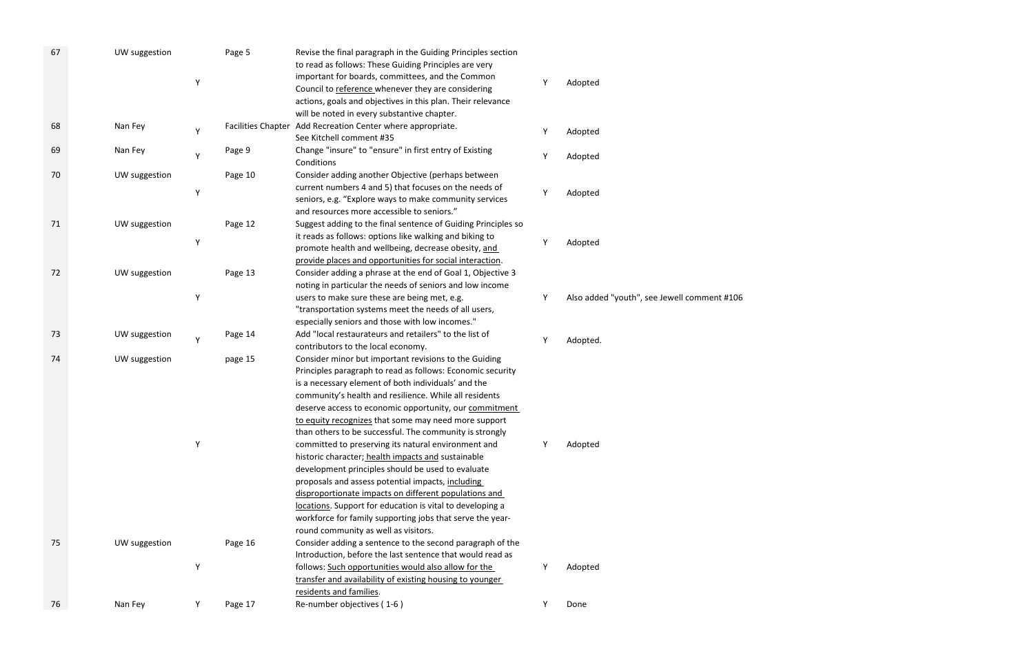| 67 | UW suggestion<br>Υ | Page 5  | Revise the final paragraph in the Guiding Principles section<br>to read as follows: These Guiding Principles are very<br>important for boards, committees, and the Common<br>Council to reference whenever they are considering<br>actions, goals and objectives in this plan. Their relevance<br>will be noted in every substantive chapter.                                                                                                                                                                                                                                                                                                                                                                                                                                                                                                                       | Adopted                                     |
|----|--------------------|---------|---------------------------------------------------------------------------------------------------------------------------------------------------------------------------------------------------------------------------------------------------------------------------------------------------------------------------------------------------------------------------------------------------------------------------------------------------------------------------------------------------------------------------------------------------------------------------------------------------------------------------------------------------------------------------------------------------------------------------------------------------------------------------------------------------------------------------------------------------------------------|---------------------------------------------|
| 68 | Nan Fey<br>Y       |         | Facilities Chapter Add Recreation Center where appropriate.<br>See Kitchell comment #35                                                                                                                                                                                                                                                                                                                                                                                                                                                                                                                                                                                                                                                                                                                                                                             | Adopted                                     |
| 69 | Nan Fey<br>Υ       | Page 9  | Change "insure" to "ensure" in first entry of Existing<br>Conditions                                                                                                                                                                                                                                                                                                                                                                                                                                                                                                                                                                                                                                                                                                                                                                                                | Adopted                                     |
| 70 | UW suggestion<br>Y | Page 10 | Consider adding another Objective (perhaps between<br>current numbers 4 and 5) that focuses on the needs of<br>seniors, e.g. "Explore ways to make community services<br>and resources more accessible to seniors."                                                                                                                                                                                                                                                                                                                                                                                                                                                                                                                                                                                                                                                 | Adopted                                     |
| 71 | UW suggestion<br>Υ | Page 12 | Suggest adding to the final sentence of Guiding Principles so<br>it reads as follows: options like walking and biking to<br>promote health and wellbeing, decrease obesity, and<br>provide places and opportunities for social interaction.                                                                                                                                                                                                                                                                                                                                                                                                                                                                                                                                                                                                                         | Adopted                                     |
| 72 | UW suggestion<br>Y | Page 13 | Consider adding a phrase at the end of Goal 1, Objective 3<br>noting in particular the needs of seniors and low income<br>users to make sure these are being met, e.g.<br>"transportation systems meet the needs of all users,<br>especially seniors and those with low incomes."                                                                                                                                                                                                                                                                                                                                                                                                                                                                                                                                                                                   | Also added "youth", see Jewell comment #106 |
| 73 | UW suggestion<br>Y | Page 14 | Add "local restaurateurs and retailers" to the list of<br>contributors to the local economy.                                                                                                                                                                                                                                                                                                                                                                                                                                                                                                                                                                                                                                                                                                                                                                        | Adopted.                                    |
| 74 | UW suggestion<br>Y | page 15 | Consider minor but important revisions to the Guiding<br>Principles paragraph to read as follows: Economic security<br>is a necessary element of both individuals' and the<br>community's health and resilience. While all residents<br>deserve access to economic opportunity, our commitment<br>to equity recognizes that some may need more support<br>than others to be successful. The community is strongly<br>committed to preserving its natural environment and<br>historic character; health impacts and sustainable<br>development principles should be used to evaluate<br>proposals and assess potential impacts, including<br>disproportionate impacts on different populations and<br>locations. Support for education is vital to developing a<br>workforce for family supporting jobs that serve the year-<br>round community as well as visitors. | Adopted                                     |
| 75 | UW suggestion<br>Y | Page 16 | Consider adding a sentence to the second paragraph of the<br>Introduction, before the last sentence that would read as<br>follows: Such opportunities would also allow for the                                                                                                                                                                                                                                                                                                                                                                                                                                                                                                                                                                                                                                                                                      | Adopted                                     |
| 76 | Nan Fey<br>Υ       |         | transfer and availability of existing housing to younger<br>residents and families.<br>Re-number objectives (1-6)                                                                                                                                                                                                                                                                                                                                                                                                                                                                                                                                                                                                                                                                                                                                                   | Done                                        |
|    |                    | Page 17 |                                                                                                                                                                                                                                                                                                                                                                                                                                                                                                                                                                                                                                                                                                                                                                                                                                                                     |                                             |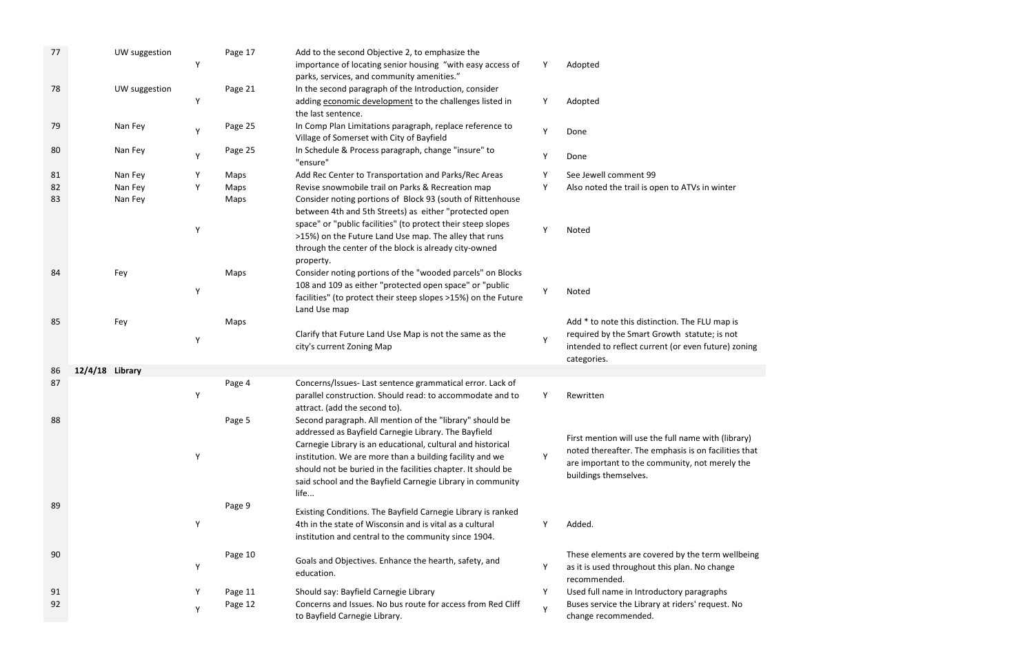| 77 |                 | UW suggestion | Υ | Page 17 | Add to the second Objective 2, to emphasize the<br>importance of locating senior housing "with easy access of<br>parks, services, and community amenities."                                                                                                                                                                                                                       | Y | Adopted                                                                                                                                                                                |
|----|-----------------|---------------|---|---------|-----------------------------------------------------------------------------------------------------------------------------------------------------------------------------------------------------------------------------------------------------------------------------------------------------------------------------------------------------------------------------------|---|----------------------------------------------------------------------------------------------------------------------------------------------------------------------------------------|
| 78 |                 | UW suggestion | Υ | Page 21 | In the second paragraph of the Introduction, consider<br>adding economic development to the challenges listed in<br>the last sentence.                                                                                                                                                                                                                                            | Υ | Adopted                                                                                                                                                                                |
| 79 |                 | Nan Fey       | Y | Page 25 | In Comp Plan Limitations paragraph, replace reference to<br>Village of Somerset with City of Bayfield                                                                                                                                                                                                                                                                             | Υ | Done                                                                                                                                                                                   |
| 80 |                 | Nan Fey       | Υ | Page 25 | In Schedule & Process paragraph, change "insure" to<br>"ensure"                                                                                                                                                                                                                                                                                                                   | Y | Done                                                                                                                                                                                   |
| 81 |                 | Nan Fey       | Υ | Maps    | Add Rec Center to Transportation and Parks/Rec Areas                                                                                                                                                                                                                                                                                                                              | Υ | See Jewell comment 99                                                                                                                                                                  |
| 82 |                 | Nan Fey       | Υ | Maps    | Revise snowmobile trail on Parks & Recreation map                                                                                                                                                                                                                                                                                                                                 | Υ | Also noted the trail is open to ATVs in winter                                                                                                                                         |
| 83 |                 | Nan Fey       | Υ | Maps    | Consider noting portions of Block 93 (south of Rittenhouse<br>between 4th and 5th Streets) as either "protected open<br>space" or "public facilities" (to protect their steep slopes                                                                                                                                                                                              | Y | Noted                                                                                                                                                                                  |
|    |                 |               |   |         | >15%) on the Future Land Use map. The alley that runs<br>through the center of the block is already city-owned<br>property.                                                                                                                                                                                                                                                       |   |                                                                                                                                                                                        |
| 84 |                 | Fey           | Υ | Maps    | Consider noting portions of the "wooded parcels" on Blocks<br>108 and 109 as either "protected open space" or "public<br>facilities" (to protect their steep slopes >15%) on the Future<br>Land Use map                                                                                                                                                                           | Υ | Noted                                                                                                                                                                                  |
| 85 |                 | Fey           | Υ | Maps    | Clarify that Future Land Use Map is not the same as the<br>city's current Zoning Map                                                                                                                                                                                                                                                                                              | Υ | Add * to note this distinction. The FLU map is<br>required by the Smart Growth statute; is not<br>intended to reflect current (or even future) zoning<br>categories.                   |
| 86 | 12/4/18 Library |               |   |         |                                                                                                                                                                                                                                                                                                                                                                                   |   |                                                                                                                                                                                        |
| 87 |                 |               | Υ | Page 4  | Concerns/Issues- Last sentence grammatical error. Lack of<br>parallel construction. Should read: to accommodate and to<br>attract. (add the second to).                                                                                                                                                                                                                           | Υ | Rewritten                                                                                                                                                                              |
| 88 |                 |               | Υ | Page 5  | Second paragraph. All mention of the "library" should be<br>addressed as Bayfield Carnegie Library. The Bayfield<br>Carnegie Library is an educational, cultural and historical<br>institution. We are more than a building facility and we<br>should not be buried in the facilities chapter. It should be<br>said school and the Bayfield Carnegie Library in community<br>life | Υ | First mention will use the full name with (library)<br>noted thereafter. The emphasis is on facilities that<br>are important to the community, not merely the<br>buildings themselves. |
| 89 |                 |               | Υ | Page 9  | Existing Conditions. The Bayfield Carnegie Library is ranked<br>4th in the state of Wisconsin and is vital as a cultural<br>institution and central to the community since 1904.                                                                                                                                                                                                  | Y | Added.                                                                                                                                                                                 |
| 90 |                 |               | Υ | Page 10 | Goals and Objectives. Enhance the hearth, safety, and<br>education.                                                                                                                                                                                                                                                                                                               | Υ | These elements are covered by the term wellbeing<br>as it is used throughout this plan. No change<br>recommended.                                                                      |
| 91 |                 |               | Y | Page 11 | Should say: Bayfield Carnegie Library                                                                                                                                                                                                                                                                                                                                             | Y | Used full name in Introductory paragraphs                                                                                                                                              |
| 92 |                 |               | Y | Page 12 | Concerns and Issues. No bus route for access from Red Cliff<br>to Bayfield Carnegie Library.                                                                                                                                                                                                                                                                                      | Y | Buses service the Library at riders' request. No<br>change recommended.                                                                                                                |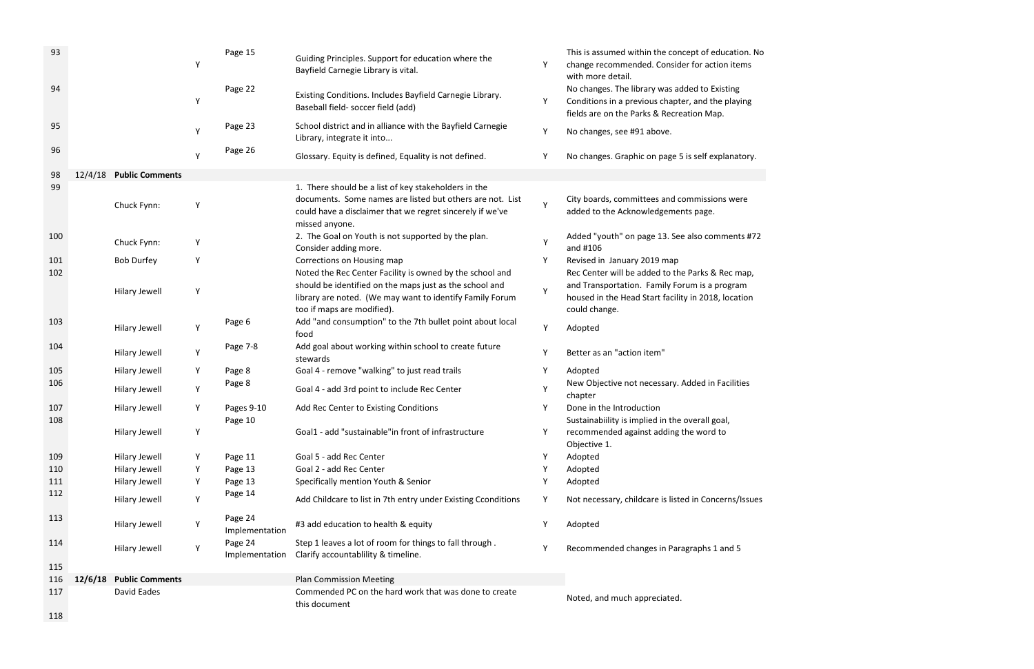| 93         |         |                         | Υ | Page 15                   | Guiding Principles. Support for education where the<br>Bayfield Carnegie Library is vital.                                                        |   | This is assumed within the concept of education. No<br>change recommended. Consider for action items<br>with more detail.                       |
|------------|---------|-------------------------|---|---------------------------|---------------------------------------------------------------------------------------------------------------------------------------------------|---|-------------------------------------------------------------------------------------------------------------------------------------------------|
| 94         |         |                         | Υ | Page 22                   | Existing Conditions. Includes Bayfield Carnegie Library.<br>Baseball field- soccer field (add)                                                    | Y | No changes. The library was added to Existing<br>Conditions in a previous chapter, and the playing<br>fields are on the Parks & Recreation Map. |
| 95         |         |                         | Y | Page 23                   | School district and in alliance with the Bayfield Carnegie<br>Library, integrate it into                                                          | Υ | No changes, see #91 above.                                                                                                                      |
| 96         |         |                         | Y | Page 26                   | Glossary. Equity is defined, Equality is not defined.                                                                                             | Υ | No changes. Graphic on page 5 is self explanatory.                                                                                              |
| 98         | 12/4/18 | <b>Public Comments</b>  |   |                           |                                                                                                                                                   |   |                                                                                                                                                 |
| 99         |         |                         |   |                           | 1. There should be a list of key stakeholders in the                                                                                              |   |                                                                                                                                                 |
|            |         | Chuck Fynn:             | Υ |                           | documents. Some names are listed but others are not. List<br>could have a disclaimer that we regret sincerely if we've<br>missed anyone.          | Υ | City boards, committees and commissions were<br>added to the Acknowledgements page.                                                             |
| 100        |         | Chuck Fynn:             | Y |                           | 2. The Goal on Youth is not supported by the plan.<br>Consider adding more.                                                                       | Υ | Added "youth" on page 13. See also comments #72<br>and #106                                                                                     |
| 101        |         | <b>Bob Durfey</b>       | Υ |                           | Corrections on Housing map                                                                                                                        | Y | Revised in January 2019 map                                                                                                                     |
| 102        |         |                         |   |                           | Noted the Rec Center Facility is owned by the school and                                                                                          |   | Rec Center will be added to the Parks & Rec map,                                                                                                |
|            |         | <b>Hilary Jewell</b>    | Υ |                           | should be identified on the maps just as the school and<br>library are noted. (We may want to identify Family Forum<br>too if maps are modified). | Υ | and Transportation. Family Forum is a program<br>housed in the Head Start facility in 2018, location<br>could change.                           |
| 103        |         | <b>Hilary Jewell</b>    | Υ | Page 6                    | Add "and consumption" to the 7th bullet point about local<br>food                                                                                 | Υ | Adopted                                                                                                                                         |
| 104        |         | <b>Hilary Jewell</b>    | Υ | Page 7-8                  | Add goal about working within school to create future<br>stewards                                                                                 | Υ | Better as an "action item"                                                                                                                      |
| 105        |         | <b>Hilary Jewell</b>    | Y | Page 8                    | Goal 4 - remove "walking" to just read trails                                                                                                     | Y | Adopted                                                                                                                                         |
| 106        |         | <b>Hilary Jewell</b>    | Υ | Page 8                    | Goal 4 - add 3rd point to include Rec Center                                                                                                      | Υ | New Objective not necessary. Added in Facilities<br>chapter                                                                                     |
| 107<br>108 |         | Hilary Jewell           | Y | Pages 9-10<br>Page 10     | Add Rec Center to Existing Conditions                                                                                                             | Υ | Done in the Introduction<br>Sustainabiility is implied in the overall goal,                                                                     |
|            |         | <b>Hilary Jewell</b>    | Y |                           | Goal1 - add "sustainable" in front of infrastructure                                                                                              |   | recommended against adding the word to<br>Objective 1.                                                                                          |
| 109        |         | <b>Hilary Jewell</b>    | Y | Page 11                   | Goal 5 - add Rec Center                                                                                                                           |   | Adopted                                                                                                                                         |
| 110        |         | <b>Hilary Jewell</b>    | Υ | Page 13                   | Goal 2 - add Rec Center                                                                                                                           | Υ | Adopted                                                                                                                                         |
| 111        |         | <b>Hilary Jewell</b>    | Y | Page 13                   | Specifically mention Youth & Senior                                                                                                               | Y | Adopted                                                                                                                                         |
| 112        |         | <b>Hilary Jewell</b>    | Υ | Page 14                   | Add Childcare to list in 7th entry under Existing Cconditions                                                                                     | Υ | Not necessary, childcare is listed in Concerns/Issues                                                                                           |
| 113        |         | Hilary Jewell           | Υ | Page 24<br>Implementation | #3 add education to health & equity                                                                                                               | Y | Adopted                                                                                                                                         |
| 114        |         | Hilary Jewell           | Y | Page 24<br>Implementation | Step 1 leaves a lot of room for things to fall through.<br>Clarify accountablility & timeline.                                                    |   | Recommended changes in Paragraphs 1 and 5                                                                                                       |
| 115        |         |                         |   |                           |                                                                                                                                                   |   |                                                                                                                                                 |
| 116        |         | 12/6/18 Public Comments |   |                           | <b>Plan Commission Meeting</b>                                                                                                                    |   |                                                                                                                                                 |
| 117        |         | David Eades             |   |                           | Commended PC on the hard work that was done to create<br>this document                                                                            |   | Noted, and much appreciated.                                                                                                                    |
| 118        |         |                         |   |                           |                                                                                                                                                   |   |                                                                                                                                                 |